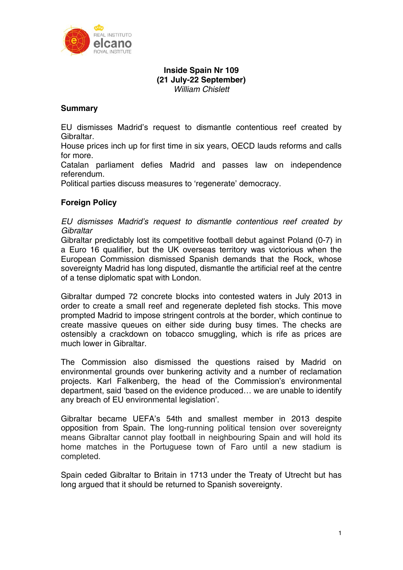

# **Inside Spain Nr 109 (21 July-22 September)**  *William Chislett*

# **Summary**

EU dismisses Madrid's request to dismantle contentious reef created by Gibraltar.

House prices inch up for first time in six years, OECD lauds reforms and calls for more.

Catalan parliament defies Madrid and passes law on independence referendum.

Political parties discuss measures to 'regenerate' democracy.

# **Foreign Policy**

*EU dismisses Madrid's request to dismantle contentious reef created by Gibraltar* 

Gibraltar predictably lost its competitive football debut against Poland (0-7) in a Euro 16 qualifier, but the UK overseas territory was victorious when the European Commission dismissed Spanish demands that the Rock, whose sovereignty Madrid has long disputed, dismantle the artificial reef at the centre of a tense diplomatic spat with London.

Gibraltar dumped 72 concrete blocks into contested waters in July 2013 in order to create a small reef and regenerate depleted fish stocks. This move prompted Madrid to impose stringent controls at the border, which continue to create massive queues on either side during busy times. The checks are ostensibly a crackdown on tobacco smuggling, which is rife as prices are much lower in Gibraltar.

The Commission also dismissed the questions raised by Madrid on environmental grounds over bunkering activity and a number of reclamation projects. Karl Falkenberg, the head of the Commission's environmental department, said 'based on the evidence produced… we are unable to identify any breach of EU environmental legislation'.

Gibraltar became UEFA's 54th and smallest member in 2013 despite opposition from Spain. The long-running political tension over sovereignty means Gibraltar cannot play football in neighbouring Spain and will hold its home matches in the Portuguese town of Faro until a new stadium is completed.

Spain ceded Gibraltar to Britain in 1713 under the Treaty of Utrecht but has long argued that it should be returned to Spanish sovereignty.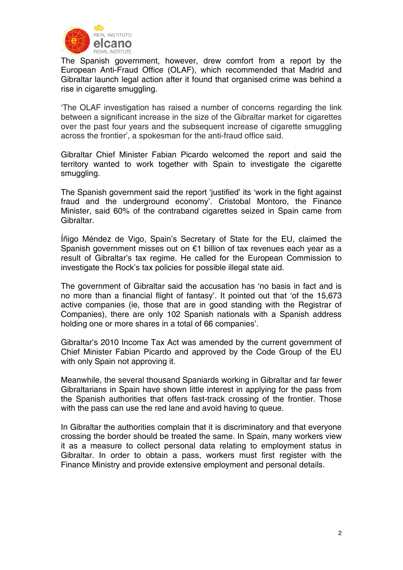

The Spanish government, however, drew comfort from a report by the European Anti-Fraud Office (OLAF), which recommended that Madrid and Gibraltar launch legal action after it found that organised crime was behind a rise in cigarette smuggling.

'The OLAF investigation has raised a number of concerns regarding the link between a significant increase in the size of the Gibraltar market for cigarettes over the past four years and the subsequent increase of cigarette smuggling across the frontier', a spokesman for the anti-fraud office said.

Gibraltar Chief Minister Fabian Picardo welcomed the report and said the territory wanted to work together with Spain to investigate the cigarette smuggling.

The Spanish government said the report 'justified' its 'work in the fight against fraud and the underground economy'. Cristobal Montoro, the Finance Minister, said 60% of the contraband cigarettes seized in Spain came from Gibraltar.

Íñigo Méndez de Vigo, Spain's Secretary of State for the EU, claimed the Spanish government misses out on €1 billion of tax revenues each year as a result of Gibraltar's tax regime. He called for the European Commission to investigate the Rock's tax policies for possible illegal state aid.

The government of Gibraltar said the accusation has 'no basis in fact and is no more than a financial flight of fantasy'. It pointed out that 'of the 15,673 active companies (ie, those that are in good standing with the Registrar of Companies), there are only 102 Spanish nationals with a Spanish address holding one or more shares in a total of 66 companies'.

Gibraltar's 2010 Income Tax Act was amended by the current government of Chief Minister Fabian Picardo and approved by the Code Group of the EU with only Spain not approving it.

Meanwhile, the several thousand Spaniards working in Gibraltar and far fewer Gibraltarians in Spain have shown little interest in applying for the pass from the Spanish authorities that offers fast-track crossing of the frontier. Those with the pass can use the red lane and avoid having to queue.

In Gibraltar the authorities complain that it is discriminatory and that everyone crossing the border should be treated the same. In Spain, many workers view it as a measure to collect personal data relating to employment status in Gibraltar. In order to obtain a pass, workers must first register with the Finance Ministry and provide extensive employment and personal details.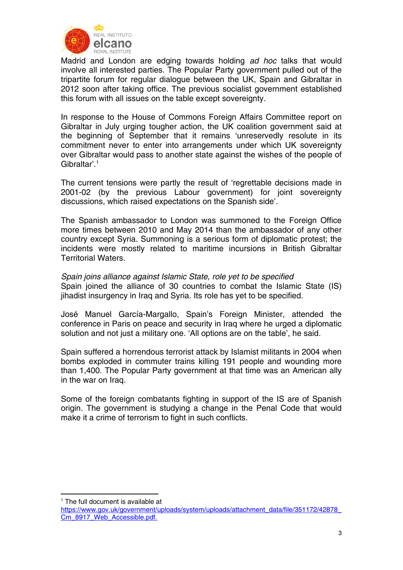

Madrid and London are edging towards holding *ad hoc* talks that would involve all interested parties. The Popular Party government pulled out of the tripartite forum for regular dialogue between the UK, Spain and Gibraltar in 2012 soon after taking office. The previous socialist government established this forum with all issues on the table except sovereignty.

In response to the House of Commons Foreign Affairs Committee report on Gibraltar in July urging tougher action, the UK coalition government said at the beginning of September that it remains 'unreservedly resolute in its commitment never to enter into arrangements under which UK sovereignty over Gibraltar would pass to another state against the wishes of the people of Gibraltar'.1

The current tensions were partly the result of 'regrettable decisions made in 2001-02 (by the previous Labour government) for joint sovereignty discussions, which raised expectations on the Spanish side'.

The Spanish ambassador to London was summoned to the Foreign Office more times between 2010 and May 2014 than the ambassador of any other country except Syria. Summoning is a serious form of diplomatic protest; the incidents were mostly related to maritime incursions in British Gibraltar Territorial Waters.

*Spain joins alliance against Islamic State, role yet to be specified*  Spain joined the alliance of 30 countries to combat the Islamic State (IS) jihadist insurgency in Iraq and Syria. Its role has yet to be specified.

José Manuel García-Margallo, Spain's Foreign Minister, attended the conference in Paris on peace and security in Iraq where he urged a diplomatic solution and not just a military one. 'All options are on the table', he said.

Spain suffered a horrendous terrorist attack by Islamist militants in 2004 when bombs exploded in commuter trains killing 191 people and wounding more than 1,400. The Popular Party government at that time was an American ally in the war on Iraq.

Some of the foreign combatants fighting in support of the IS are of Spanish origin. The government is studying a change in the Penal Code that would make it a crime of terrorism to fight in such conflicts.

<u>.</u>

<sup>&</sup>lt;sup>1</sup> The full document is available at

https://www.gov.uk/government/uploads/system/uploads/attachment\_data/file/351172/42878\_ Cm\_8917\_Web\_Accessible.pdf.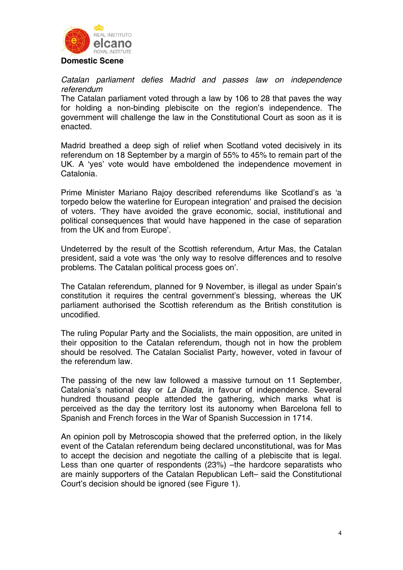

### **Domestic Scene**

*Catalan parliament defies Madrid and passes law on independence referendum* 

The Catalan parliament voted through a law by 106 to 28 that paves the way for holding a non-binding plebiscite on the region's independence. The government will challenge the law in the Constitutional Court as soon as it is enacted.

Madrid breathed a deep sigh of relief when Scotland voted decisively in its referendum on 18 September by a margin of 55% to 45% to remain part of the UK. A 'yes' vote would have emboldened the independence movement in Catalonia.

Prime Minister Mariano Rajoy described referendums like Scotland's as 'a torpedo below the waterline for European integration' and praised the decision of voters. 'They have avoided the grave economic, social, institutional and political consequences that would have happened in the case of separation from the UK and from Europe'.

Undeterred by the result of the Scottish referendum, Artur Mas, the Catalan president, said a vote was 'the only way to resolve differences and to resolve problems. The Catalan political process goes on'.

The Catalan referendum, planned for 9 November, is illegal as under Spain's constitution it requires the central government's blessing, whereas the UK parliament authorised the Scottish referendum as the British constitution is uncodified.

The ruling Popular Party and the Socialists, the main opposition, are united in their opposition to the Catalan referendum, though not in how the problem should be resolved. The Catalan Socialist Party, however, voted in favour of the referendum law.

The passing of the new law followed a massive turnout on 11 September, Catalonia's national day or *La Diada*, in favour of independence. Several hundred thousand people attended the gathering, which marks what is perceived as the day the territory lost its autonomy when Barcelona fell to Spanish and French forces in the War of Spanish Succession in 1714.

An opinion poll by Metroscopia showed that the preferred option, in the likely event of the Catalan referendum being declared unconstitutional, was for Mas to accept the decision and negotiate the calling of a plebiscite that is legal. Less than one quarter of respondents (23%) –the hardcore separatists who are mainly supporters of the Catalan Republican Left– said the Constitutional Court's decision should be ignored (see Figure 1).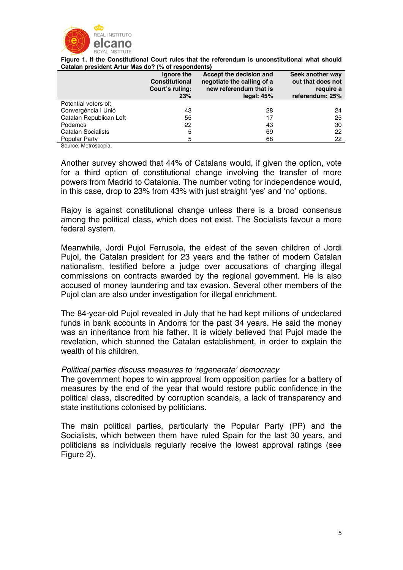

**Figure 1. If the Constitutional Court rules that the referendum is unconstitutional what should Catalan president Artur Mas do? (% of respondents)** 

|                         | Ignore the<br><b>Constitutional</b><br>Court's ruling:<br>23% | Accept the decision and<br>negotiate the calling of a<br>new referendum that is<br>legal: $45%$ | Seek another way<br>out that does not<br>reguire a<br>referendum: 25% |
|-------------------------|---------------------------------------------------------------|-------------------------------------------------------------------------------------------------|-----------------------------------------------------------------------|
| Potential voters of:    |                                                               |                                                                                                 |                                                                       |
| Convergéncia i Unió     | 43                                                            | 28                                                                                              | 24                                                                    |
| Catalan Republican Left | 55                                                            | 17                                                                                              | 25                                                                    |
| Podemos                 | 22                                                            | 43                                                                                              | 30                                                                    |
| Catalan Socialists      | 5                                                             | 69                                                                                              | 22                                                                    |
| Popular Party           | 5                                                             | 68                                                                                              | 22                                                                    |
| <u>.</u>                |                                                               |                                                                                                 |                                                                       |

Source: Metroscopia.

Another survey showed that 44% of Catalans would, if given the option, vote for a third option of constitutional change involving the transfer of more powers from Madrid to Catalonia. The number voting for independence would, in this case, drop to 23% from 43% with just straight 'yes' and 'no' options.

Rajoy is against constitutional change unless there is a broad consensus among the political class, which does not exist. The Socialists favour a more federal system.

Meanwhile, Jordi Pujol Ferrusola, the eldest of the seven children of Jordi Pujol, the Catalan president for 23 years and the father of modern Catalan nationalism, testified before a judge over accusations of charging illegal commissions on contracts awarded by the regional government. He is also accused of money laundering and tax evasion. Several other members of the Pujol clan are also under investigation for illegal enrichment.

The 84-year-old Pujol revealed in July that he had kept millions of undeclared funds in bank accounts in Andorra for the past 34 years. He said the money was an inheritance from his father. It is widely believed that Pujol made the revelation, which stunned the Catalan establishment, in order to explain the wealth of his children.

## *Political parties discuss measures to 'regenerate' democracy*

The government hopes to win approval from opposition parties for a battery of measures by the end of the year that would restore public confidence in the political class, discredited by corruption scandals, a lack of transparency and state institutions colonised by politicians.

The main political parties, particularly the Popular Party (PP) and the Socialists, which between them have ruled Spain for the last 30 years, and politicians as individuals regularly receive the lowest approval ratings (see Figure 2).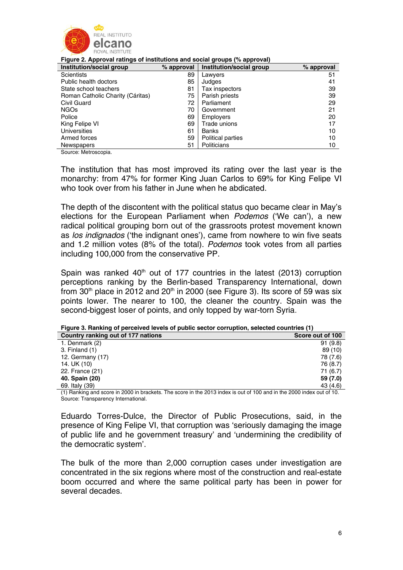

#### **Figure 2. Approval ratings of institutions and social groups (% approval)**

| Institution/social group         | % approval | Institution/social group | % approval |
|----------------------------------|------------|--------------------------|------------|
| <b>Scientists</b>                | 89         | Lawyers                  | 51         |
| Public health doctors            | 85         | Judges                   | 41         |
| State school teachers            | 81         | Tax inspectors           | 39         |
| Roman Catholic Charity (Cáritas) | 75         | Parish priests           | 39         |
| Civil Guard                      | 72         | Parliament               | 29         |
| <b>NGOs</b>                      | 70         | Government               | 21         |
| Police                           | 69         | <b>Employers</b>         | 20         |
| King Felipe VI                   | 69         | Trade unions             | 17         |
| Universities                     | 61         | <b>Banks</b>             | 10         |
| Armed forces                     | 59         | Political parties        | 10         |
| Newspapers                       | 51         | Politicians              | 10         |

Source: Metroscopia.

The institution that has most improved its rating over the last year is the monarchy: from 47% for former King Juan Carlos to 69% for King Felipe VI who took over from his father in June when he abdicated.

The depth of the discontent with the political status quo became clear in May's elections for the European Parliament when *Podemos* ('We can'), a new radical political grouping born out of the grassroots protest movement known as *los indignados* ('the indignant ones'), came from nowhere to win five seats and 1.2 million votes (8% of the total). *Podemos* took votes from all parties including 100,000 from the conservative PP.

Spain was ranked  $40<sup>th</sup>$  out of 177 countries in the latest (2013) corruption perceptions ranking by the Berlin-based Transparency International, down from  $30<sup>th</sup>$  place in 2012 and  $20<sup>th</sup>$  in 2000 (see Figure 3). Its score of 59 was six points lower. The nearer to 100, the cleaner the country. Spain was the second-biggest loser of points, and only topped by war-torn Syria.

### **Figure 3. Ranking of perceived levels of public sector corruption, selected countries (1)**

| Country ranking out of 177 nations                                                                                         | Score out of 100 |
|----------------------------------------------------------------------------------------------------------------------------|------------------|
| 1. Denmark (2)                                                                                                             | 91(9.8)          |
| 3. Finland (1)                                                                                                             | 89(10)           |
| 12. Germany $(17)$                                                                                                         | 78 (7.6)         |
| 14. UK (10)                                                                                                                | 76 (8.7)         |
| 22. France (21)                                                                                                            | 71(6.7)          |
| 40. Spain (20)                                                                                                             | 59 (7.0)         |
| 69. Italy (39)                                                                                                             | 43 (4.6)         |
| (1) the final property of the DOD in broadcate. The searce in the 0019 index is sut of 100 and in the 0000 index sut of 10 |                  |

1) Ranking and score in 2000 in brackets. The score in the 2013 index is out of 100 and in the 2000 index out of 10. Source: Transparency International.

Eduardo Torres-Dulce, the Director of Public Prosecutions, said, in the presence of King Felipe VI, that corruption was 'seriously damaging the image of public life and he government treasury' and 'undermining the credibility of the democratic system'.

The bulk of the more than 2,000 corruption cases under investigation are concentrated in the six regions where most of the construction and real-estate boom occurred and where the same political party has been in power for several decades.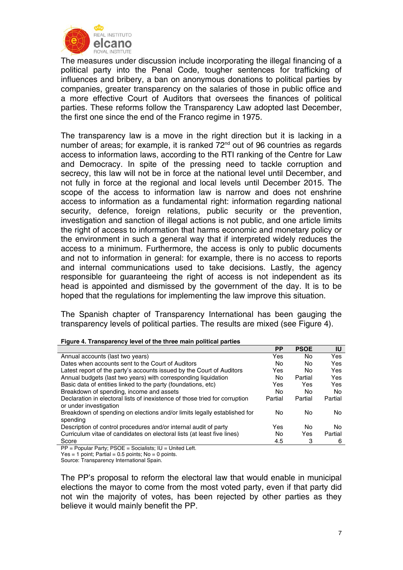

The measures under discussion include incorporating the illegal financing of a political party into the Penal Code, tougher sentences for trafficking of influences and bribery, a ban on anonymous donations to political parties by companies, greater transparency on the salaries of those in public office and a more effective Court of Auditors that oversees the finances of political parties. These reforms follow the Transparency Law adopted last December, the first one since the end of the Franco regime in 1975.

The transparency law is a move in the right direction but it is lacking in a number of areas; for example, it is ranked 72<sup>nd</sup> out of 96 countries as regards access to information laws, according to the RTI ranking of the Centre for Law and Democracy. In spite of the pressing need to tackle corruption and secrecy, this law will not be in force at the national level until December, and not fully in force at the regional and local levels until December 2015. The scope of the access to information law is narrow and does not enshrine access to information as a fundamental right: information regarding national security, defence, foreign relations, public security or the prevention, investigation and sanction of illegal actions is not public, and one article limits the right of access to information that harms economic and monetary policy or the environment in such a general way that if interpreted widely reduces the access to a minimum. Furthermore, the access is only to public documents and not to information in general: for example, there is no access to reports and internal communications used to take decisions. Lastly, the agency responsible for guaranteeing the right of access is not independent as its head is appointed and dismissed by the government of the day. It is to be hoped that the regulations for implementing the law improve this situation.

The Spanish chapter of Transparency International has been gauging the transparency levels of political parties. The results are mixed (see Figure 4).

|                                                                                                       | <b>PP</b> | <b>PSOE</b> | IU      |
|-------------------------------------------------------------------------------------------------------|-----------|-------------|---------|
| Annual accounts (last two years)                                                                      | Yes       | No.         | Yes     |
| Dates when accounts sent to the Court of Auditors                                                     | No        | No          | Yes     |
| Latest report of the party's accounts issued by the Court of Auditors                                 | Yes       | No.         | Yes     |
| Annual budgets (last two years) with corresponding liquidation                                        | No        | Partial     | Yes     |
| Basic data of entities linked to the party (foundations, etc)                                         | Yes       | Yes         | Yes     |
| Breakdown of spending, income and assets                                                              | No        | No.         | No      |
| Declaration in electoral lists of inexistence of those tried for corruption<br>or under investigation | Partial   | Partial     | Partial |
| Breakdown of spending on elections and/or limits legally established for<br>spending                  | No        | No.         | No      |
| Description of control procedures and/or internal audit of party                                      | Yes       | No          | No      |
| Curriculum vitae of candidates on electoral lists (at least five lines)                               | No        | Yes         | Partial |
| Score                                                                                                 | 4.5       | 3           | 6       |

| Figure 4. Transparency level of the three main political parties |
|------------------------------------------------------------------|
|------------------------------------------------------------------|

PP = Popular Party; PSOE = Socialists; IU = United Left.

Yes = 1 point; Partial =  $0.5$  points; No = 0 points.

Source: Transparency International Spain.

The PP's proposal to reform the electoral law that would enable in municipal elections the mayor to come from the most voted party, even if that party did not win the majority of votes, has been rejected by other parties as they believe it would mainly benefit the PP.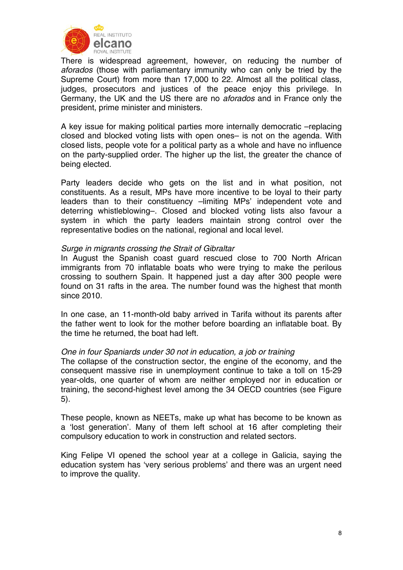

There is widespread agreement, however, on reducing the number of *aforados* (those with parliamentary immunity who can only be tried by the Supreme Court) from more than 17,000 to 22. Almost all the political class, judges, prosecutors and justices of the peace enjoy this privilege. In Germany, the UK and the US there are no *aforados* and in France only the president, prime minister and ministers.

A key issue for making political parties more internally democratic –replacing closed and blocked voting lists with open ones– is not on the agenda. With closed lists, people vote for a political party as a whole and have no influence on the party-supplied order. The higher up the list, the greater the chance of being elected.

Party leaders decide who gets on the list and in what position, not constituents. As a result, MPs have more incentive to be loyal to their party leaders than to their constituency –limiting MPs' independent vote and deterring whistleblowing–. Closed and blocked voting lists also favour a system in which the party leaders maintain strong control over the representative bodies on the national, regional and local level.

### *Surge in migrants crossing the Strait of Gibraltar*

In August the Spanish coast guard rescued close to 700 North African immigrants from 70 inflatable boats who were trying to make the perilous crossing to southern Spain. It happened just a day after 300 people were found on 31 rafts in the area. The number found was the highest that month since 2010.

In one case, an 11-month-old baby arrived in Tarifa without its parents after the father went to look for the mother before boarding an inflatable boat. By the time he returned, the boat had left.

### *One in four Spaniards under 30 not in education, a job or training*

The collapse of the construction sector, the engine of the economy, and the consequent massive rise in unemployment continue to take a toll on 15-29 year-olds, one quarter of whom are neither employed nor in education or training, the second-highest level among the 34 OECD countries (see Figure 5).

These people, known as NEETs, make up what has become to be known as a 'lost generation'. Many of them left school at 16 after completing their compulsory education to work in construction and related sectors.

King Felipe VI opened the school year at a college in Galicia, saying the education system has 'very serious problems' and there was an urgent need to improve the quality.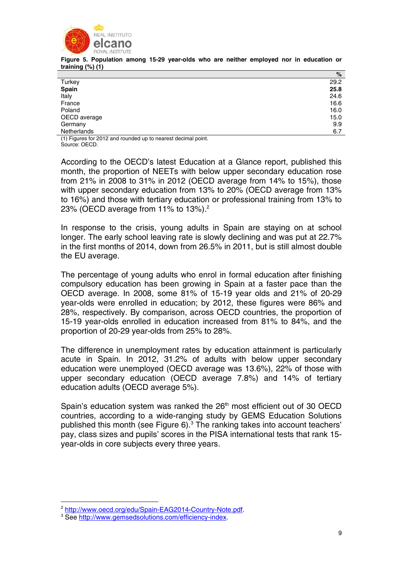

**Figure 5. Population among 15-29 year-olds who are neither employed nor in education or training (%) (1)** 

|                                                                | %    |
|----------------------------------------------------------------|------|
| Turkey                                                         | 29.2 |
| Spain                                                          | 25.8 |
| Italy                                                          | 24.6 |
| France                                                         | 16.6 |
| Poland                                                         | 16.0 |
| OECD average                                                   | 15.0 |
| Germany                                                        | 9.9  |
| Netherlands                                                    | 6.7  |
| $(1)$ Eigures for 2012 and rounded up to nearest decimal point |      |

1) Figures for 2012 and rounded up to nearest decimal point. Source: OECD.

According to the OECD's latest Education at a Glance report, published this month, the proportion of NEETs with below upper secondary education rose from 21% in 2008 to 31% in 2012 (OECD average from 14% to 15%), those with upper secondary education from 13% to 20% (OECD average from 13% to 16%) and those with tertiary education or professional training from 13% to 23% (OECD average from 11% to 13%). $2^{\circ}$ 

In response to the crisis, young adults in Spain are staying on at school longer. The early school leaving rate is slowly declining and was put at 22.7% in the first months of 2014, down from 26.5% in 2011, but is still almost double the EU average.

The percentage of young adults who enrol in formal education after finishing compulsory education has been growing in Spain at a faster pace than the OECD average. In 2008, some 81% of 15-19 year olds and 21% of 20-29 year-olds were enrolled in education; by 2012, these figures were 86% and 28%, respectively. By comparison, across OECD countries, the proportion of 15-19 year-olds enrolled in education increased from 81% to 84%, and the proportion of 20-29 year-olds from 25% to 28%.

The difference in unemployment rates by education attainment is particularly acute in Spain. In 2012, 31.2% of adults with below upper secondary education were unemployed (OECD average was 13.6%), 22% of those with upper secondary education (OECD average 7.8%) and 14% of tertiary education adults (OECD average 5%).

Spain's education system was ranked the 26<sup>th</sup> most efficient out of 30 OECD countries, according to a wide-ranging study by GEMS Education Solutions published this month (see Figure 6).<sup>3</sup> The ranking takes into account teachers' pay, class sizes and pupils' scores in the PISA international tests that rank 15 year-olds in core subjects every three years.

<u>.</u>

<sup>&</sup>lt;sup>2</sup> http://www.oecd.org/edu/Spain-EAG2014-Country-Note.pdf.

<sup>&</sup>lt;sup>3</sup> See http://www.gemsedsolutions.com/efficiency-index.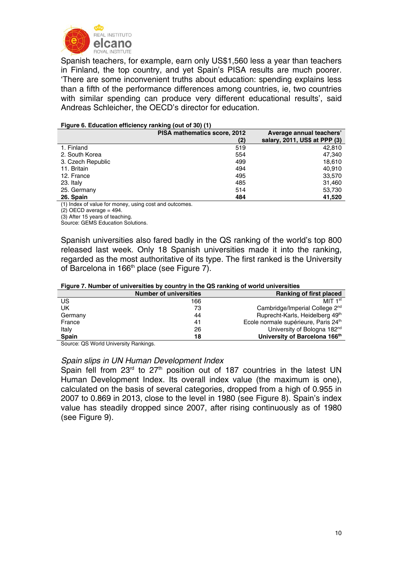

Spanish teachers, for example, earn only US\$1,560 less a year than teachers in Finland, the top country, and yet Spain's PISA results are much poorer. 'There are some inconvenient truths about education: spending explains less than a fifth of the performance differences among countries, ie, two countries with similar spending can produce very different educational results', said Andreas Schleicher, the OECD's director for education.

#### **Figure 6. Education efficiency ranking (out of 30) (1)**

|                   | <b>PISA mathematics score, 2012</b> | Average annual teachers'      |
|-------------------|-------------------------------------|-------------------------------|
|                   | (2)                                 | salary, 2011, US\$ at PPP (3) |
| 1. Finland        | 519                                 | 42.810                        |
| 2. South Korea    | 554                                 | 47,340                        |
| 3. Czech Republic | 499                                 | 18,610                        |
| 11. Britain       | 494                                 | 40.910                        |
| 12. France        | 495                                 | 33,570                        |
| 23. Italy         | 485                                 | 31,460                        |
| 25. Germany       | 514                                 | 53,730                        |
| 26. Spain         | 484                                 | 41,520                        |

(1) Index of value for money, using cost and outcomes.

 $(2)$  OECD average = 494.

(3) After 15 years of teaching.

Source: GEMS Education Solutions.

Spanish universities also fared badly in the QS ranking of the world's top 800 released last week. Only 18 Spanish universities made it into the ranking, regarded as the most authoritative of its type. The first ranked is the University of Barcelona in 166<sup>th</sup> place (see Figure 7).

### **Figure 7. Number of universities by country in the QS ranking of world universities**

| <b>Number of universities</b> | <b>Ranking of first placed</b>                   |
|-------------------------------|--------------------------------------------------|
| 166                           | MIT $1st$                                        |
| 73                            | Cambridge/Imperial College 2 <sup>nd</sup>       |
| 44                            | Ruprecht-Karls, Heidelberg 49th                  |
| 41                            | Ecole normale supérieure, Paris 24 <sup>th</sup> |
| 26                            | University of Bologna 182 <sup>nd</sup>          |
| 18                            | University of Barcelona 166th                    |
|                               | - -                                              |

Source: QS World University Rankings.

### *Spain slips in UN Human Development Index*

Spain fell from  $23<sup>rd</sup>$  to  $27<sup>th</sup>$  position out of 187 countries in the latest UN Human Development Index. Its overall index value (the maximum is one), calculated on the basis of several categories, dropped from a high of 0.955 in 2007 to 0.869 in 2013, close to the level in 1980 (see Figure 8). Spain's index value has steadily dropped since 2007, after rising continuously as of 1980 (see Figure 9).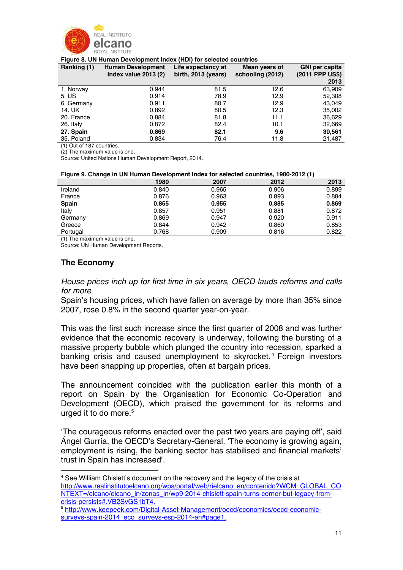

#### **Figure 8. UN Human Development Index (HDI) for selected countries**

| Ranking (1) | <b>Human Development</b><br>Index value $2013(2)$ | Life expectancy at<br>birth, 2013 (years) | Mean years of<br>schooling (2012) | <b>GNI per capita</b><br>(2011 PPP US\$) |
|-------------|---------------------------------------------------|-------------------------------------------|-----------------------------------|------------------------------------------|
|             |                                                   |                                           |                                   | 2013                                     |
| 1. Norway   | 0.944                                             | 81.5                                      | 12.6                              | 63,909                                   |
| 5. US       | 0.914                                             | 78.9                                      | 12.9                              | 52,308                                   |
| 6. Germany  | 0.911                                             | 80.7                                      | 12.9                              | 43,049                                   |
| 14. UK      | 0.892                                             | 80.5                                      | 12.3                              | 35,002                                   |
| 20. France  | 0.884                                             | 81.8                                      | 11.1                              | 36,629                                   |
| 26. Italy   | 0.872                                             | 82.4                                      | 10.1                              | 32,669                                   |
| 27. Spain   | 0.869                                             | 82.1                                      | 9.6                               | 30,561                                   |
| 35. Poland  | 0.834                                             | 76.4                                      | 11.8                              | 21,487                                   |

(1) Out of 187 countries.

(2) The maximum value is one.

Source: United Nations Human Development Report, 2014.

#### **Figure 9. Change in UN Human Development Index for selected countries, 1980-2012 (1)**

|              | 1980  | 2007  | 2012  | 2013  |
|--------------|-------|-------|-------|-------|
| Ireland      | 0.840 | 0.965 | 0.906 | 0.899 |
| France       | 0.876 | 0.963 | 0.893 | 0.884 |
| <b>Spain</b> | 0.855 | 0.955 | 0.885 | 0.869 |
| Italy        | 0.857 | 0.951 | 0.881 | 0.872 |
| Germany      | 0.869 | 0.947 | 0.920 | 0.911 |
| Greece       | 0.844 | 0.942 | 0.860 | 0.853 |
| Portugal     | 0.768 | 0.909 | 0.816 | 0.822 |

(1) The maximum value is one.

Source: UN Human Development Reports.

## **The Economy**

1

*House prices inch up for first time in six years, OECD lauds reforms and calls for more* 

Spain's housing prices, which have fallen on average by more than 35% since 2007, rose 0.8% in the second quarter year-on-year.

This was the first such increase since the first quarter of 2008 and was further evidence that the economic recovery is underway, following the bursting of a massive property bubble which plunged the country into recession, sparked a banking crisis and caused unemployment to skyrocket. 4 Foreign investors have been snapping up properties, often at bargain prices.

The announcement coincided with the publication earlier this month of a report on Spain by the Organisation for Economic Co-Operation and Development (OECD), which praised the government for its reforms and urged it to do more.<sup>5</sup>

'The courageous reforms enacted over the past two years are paying off', said Ángel Gurría, the OECD's Secretary-General. 'The economy is growing again, employment is rising, the banking sector has stabilised and financial markets' trust in Spain has increased'.

<sup>&</sup>lt;sup>4</sup> See William Chislett's document on the recovery and the legacy of the crisis at http://www.realinstitutoelcano.org/wps/portal/web/rielcano\_en/contenido?WCM\_GLOBAL\_CO NTEXT=/elcano/elcano\_in/zonas\_in/wp9-2014-chislett-spain-turns-corner-but-legacy-fromcrisis-persists#.VB2SvGS1bT4.

<sup>5</sup> http://www.keepeek.com/Digital-Asset-Management/oecd/economics/oecd-economicsurveys-spain-2014\_eco\_surveys-esp-2014-en#page1.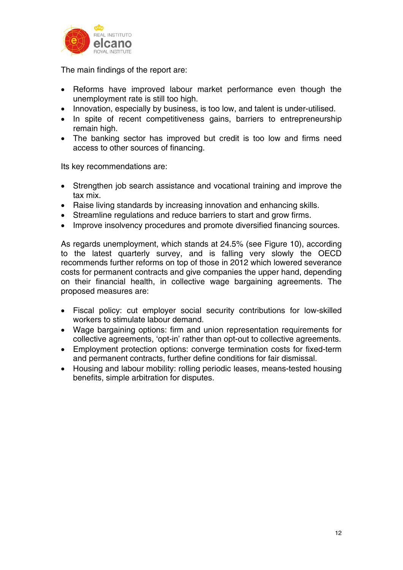

The main findings of the report are:

- Reforms have improved labour market performance even though the unemployment rate is still too high.
- Innovation, especially by business, is too low, and talent is under-utilised.
- In spite of recent competitiveness gains, barriers to entrepreneurship remain high.
- The banking sector has improved but credit is too low and firms need access to other sources of financing.

Its key recommendations are:

- Strengthen job search assistance and vocational training and improve the tax mix.
- Raise living standards by increasing innovation and enhancing skills.
- Streamline regulations and reduce barriers to start and grow firms.
- Improve insolvency procedures and promote diversified financing sources.

As regards unemployment, which stands at 24.5% (see Figure 10), according to the latest quarterly survey, and is falling very slowly the OECD recommends further reforms on top of those in 2012 which lowered severance costs for permanent contracts and give companies the upper hand, depending on their financial health, in collective wage bargaining agreements. The proposed measures are:

- Fiscal policy: cut employer social security contributions for low-skilled workers to stimulate labour demand.
- Wage bargaining options: firm and union representation requirements for collective agreements, 'opt-in' rather than opt-out to collective agreements.
- Employment protection options: converge termination costs for fixed-term and permanent contracts, further define conditions for fair dismissal.
- Housing and labour mobility: rolling periodic leases, means-tested housing benefits, simple arbitration for disputes.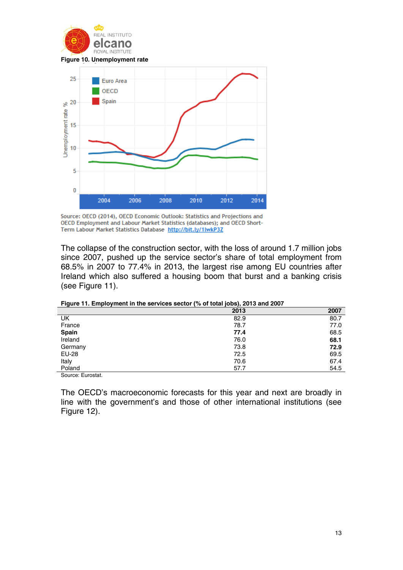

**Figure 10. Unemployment rate** 



Source: OECD (2014), OECD Economic Outlook: Statistics and Projections and OECD Employment and Labour Market Statistics (databases); and OECD Short-Term Labour Market Statistics Database http://bit.ly/1lwkP3Z

The collapse of the construction sector, with the loss of around 1.7 million jobs since 2007, pushed up the service sector's share of total employment from 68.5% in 2007 to 77.4% in 2013, the largest rise among EU countries after Ireland which also suffered a housing boom that burst and a banking crisis (see Figure 11).

|              | 2013 | 2007 |
|--------------|------|------|
| UK           | 82.9 | 80.7 |
| France       | 78.7 | 77.0 |
| <b>Spain</b> | 77.4 | 68.5 |
| Ireland      | 76.0 | 68.1 |
| Germany      | 73.8 | 72.9 |
| EU-28        | 72.5 | 69.5 |
| Italy        | 70.6 | 67.4 |
| Poland       | 57.7 | 54.5 |
| _____<br>.   |      |      |

**Figure 11. Employment in the services sector (% of total jobs), 2013 and 2007** 

Source: Eurostat.

The OECD's macroeconomic forecasts for this year and next are broadly in line with the government's and those of other international institutions (see Figure 12).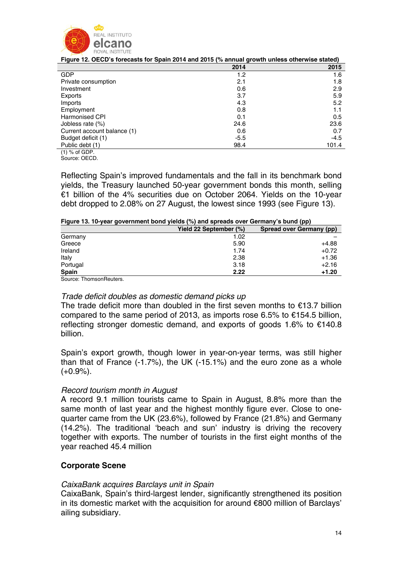

| .                           |        |       |
|-----------------------------|--------|-------|
|                             | 2014   | 2015  |
| <b>GDP</b>                  | 1.2    | 1.6   |
| Private consumption         | 2.1    | 1.8   |
| Investment                  | 0.6    | 2.9   |
| Exports                     | 3.7    | 5.9   |
| Imports                     | 4.3    | 5.2   |
| Employment                  | 0.8    | 1.1   |
| Harmonised CPI              | 0.1    | 0.5   |
| Jobless rate (%)            | 24.6   | 23.6  |
| Current account balance (1) | 0.6    | 0.7   |
| Budget deficit (1)          | $-5.5$ | -4.5  |
| Public debt (1)             | 98.4   | 101.4 |
| $(1)$ % of GDP              |        |       |

**Figure 12. OECD's forecasts for Spain 2014 and 2015 (% annual growth unless otherwise stated)** 

(1) % of GDP. Source: OECD.

Reflecting Spain's improved fundamentals and the fall in its benchmark bond yields, the Treasury launched 50-year government bonds this month, selling €1 billion of the 4% securities due on October 2064. Yields on the 10-year debt dropped to 2.08% on 27 August, the lowest since 1993 (see Figure 13).

|  | Figure 13. 10-year government bond yields (%) and spreads over Germany's bund (pp) |  |  |  |
|--|------------------------------------------------------------------------------------|--|--|--|
|  |                                                                                    |  |  |  |
|  |                                                                                    |  |  |  |

|                         | Yield 22 September (%) | <b>Spread over Germany (pp)</b> |
|-------------------------|------------------------|---------------------------------|
| Germany                 | 1.02                   |                                 |
| Greece                  | 5.90                   | $+4.88$                         |
| Ireland                 | 1.74                   | $+0.72$                         |
| Italy                   | 2.38                   | $+1.36$                         |
| Portugal                | 3.18                   | $+2.16$                         |
| <b>Spain</b>            | 2.22                   | $+1.20$                         |
| Source: ThomsonReuters. |                        |                                 |

## *Trade deficit doubles as domestic demand picks up*

The trade deficit more than doubled in the first seven months to  $\epsilon$ 13.7 billion compared to the same period of 2013, as imports rose 6.5% to €154.5 billion, reflecting stronger domestic demand, and exports of goods 1.6% to €140.8 billion.

Spain's export growth, though lower in year-on-year terms, was still higher than that of France (-1.7%), the UK (-15.1%) and the euro zone as a whole  $(+0.9\%)$ .

## *Record tourism month in August*

A record 9.1 million tourists came to Spain in August, 8.8% more than the same month of last year and the highest monthly figure ever. Close to onequarter came from the UK (23.6%), followed by France (21.8%) and Germany (14.2%). The traditional 'beach and sun' industry is driving the recovery together with exports. The number of tourists in the first eight months of the year reached 45.4 million

## **Corporate Scene**

## *CaixaBank acquires Barclays unit in Spain*

CaixaBank, Spain's third-largest lender, significantly strengthened its position in its domestic market with the acquisition for around €800 million of Barclays' ailing subsidiary.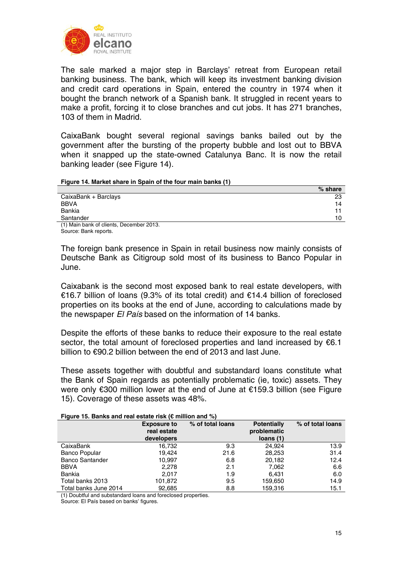

The sale marked a major step in Barclays' retreat from European retail banking business. The bank, which will keep its investment banking division and credit card operations in Spain, entered the country in 1974 when it bought the branch network of a Spanish bank. It struggled in recent years to make a profit, forcing it to close branches and cut jobs. It has 271 branches, 103 of them in Madrid.

CaixaBank bought several regional savings banks bailed out by the government after the bursting of the property bubble and lost out to BBVA when it snapped up the state-owned Catalunya Banc. It is now the retail banking leader (see Figure 14).

#### **Figure 14. Market share in Spain of the four main banks (1)**

|                                        | $%$ share |
|----------------------------------------|-----------|
| CaixaBank + Barclays                   | 23        |
| BBVA                                   | 14        |
| Bankia                                 |           |
| Santander                              | 10        |
| (1) Main hank of cliente December 2013 |           |

(1) Main bank of clients, December 2013. Source: Bank reports.

The foreign bank presence in Spain in retail business now mainly consists of Deutsche Bank as Citigroup sold most of its business to Banco Popular in June.

Caixabank is the second most exposed bank to real estate developers, with €16.7 billion of loans (9.3% of its total credit) and €14.4 billion of foreclosed properties on its books at the end of June, according to calculations made by the newspaper *El País* based on the information of 14 banks.

Despite the efforts of these banks to reduce their exposure to the real estate sector, the total amount of foreclosed properties and land increased by €6.1 billion to €90.2 billion between the end of 2013 and last June.

These assets together with doubtful and substandard loans constitute what the Bank of Spain regards as potentially problematic (ie, toxic) assets. They were only €300 million lower at the end of June at €159.3 billion (see Figure 15). Coverage of these assets was 48%.

#### **Figure 15. Banks and real estate risk (€ million and %)**

|                        | <b>Exposure to</b><br>real estate | % of total loans | <b>Potentially</b><br>problematic | % of total loans |  |  |  |
|------------------------|-----------------------------------|------------------|-----------------------------------|------------------|--|--|--|
|                        | developers                        |                  | loans(1)                          |                  |  |  |  |
| CaixaBank              | 16.732                            |                  | 24.924                            | 13.9             |  |  |  |
|                        |                                   | 9.3              |                                   |                  |  |  |  |
| <b>Banco Popular</b>   | 19.424                            | 21.6             | 28,253                            | 31.4             |  |  |  |
| <b>Banco Santander</b> | 10.997                            | 6.8              | 20,182                            | 12.4             |  |  |  |
| <b>BBVA</b>            | 2,278                             | 2.1              | 7,062                             | 6.6              |  |  |  |
| Bankia                 | 2.017                             | 1.9              | 6.431                             | 6.0              |  |  |  |
| Total banks 2013       | 101,872                           | 9.5              | 159,650                           | 14.9             |  |  |  |
| Total banks June 2014  | 92,685                            | 8.8              | 159,316                           | 15.1             |  |  |  |
|                        |                                   |                  |                                   |                  |  |  |  |

(1) Doubtful and substandard loans and foreclosed properties.

Source: El País based on banks' figures.